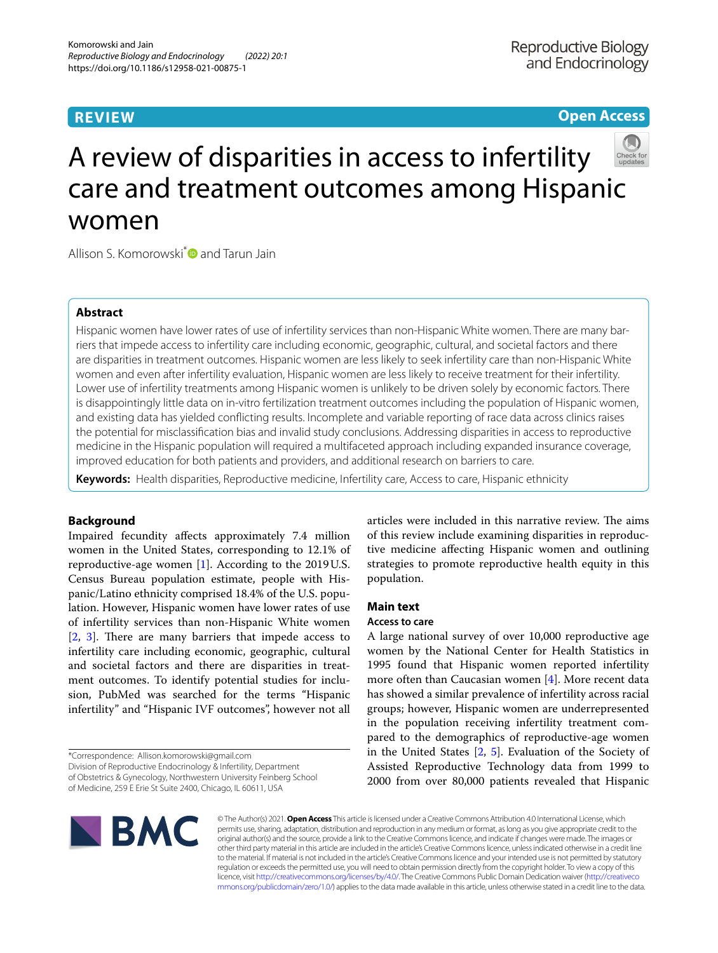# **REVIEW**

## **Open Access**



# A review of disparities in access to infertility care and treatment outcomes among Hispanic women

Allison S. Komorowski<sup>[\\*](http://orcid.org/0000-0002-3084-4613)</sup> and Tarun Jain

## **Abstract**

Hispanic women have lower rates of use of infertility services than non-Hispanic White women. There are many barriers that impede access to infertility care including economic, geographic, cultural, and societal factors and there are disparities in treatment outcomes. Hispanic women are less likely to seek infertility care than non-Hispanic White women and even after infertility evaluation, Hispanic women are less likely to receive treatment for their infertility. Lower use of infertility treatments among Hispanic women is unlikely to be driven solely by economic factors. There is disappointingly little data on in-vitro fertilization treatment outcomes including the population of Hispanic women, and existing data has yielded conficting results. Incomplete and variable reporting of race data across clinics raises the potential for misclassifcation bias and invalid study conclusions. Addressing disparities in access to reproductive medicine in the Hispanic population will required a multifaceted approach including expanded insurance coverage, improved education for both patients and providers, and additional research on barriers to care.

**Keywords:** Health disparities, Reproductive medicine, Infertility care, Access to care, Hispanic ethnicity

## **Background**

Impaired fecundity afects approximately 7.4 million women in the United States, corresponding to 12.1% of reproductive-age women [\[1](#page-6-0)]. According to the 2019U.S. Census Bureau population estimate, people with Hispanic/Latino ethnicity comprised 18.4% of the U.S. population. However, Hispanic women have lower rates of use of infertility services than non-Hispanic White women  $[2, 3]$  $[2, 3]$  $[2, 3]$  $[2, 3]$ . There are many barriers that impede access to infertility care including economic, geographic, cultural and societal factors and there are disparities in treatment outcomes. To identify potential studies for inclusion, PubMed was searched for the terms "Hispanic infertility" and "Hispanic IVF outcomes", however not all

\*Correspondence: Allison.komorowski@gmail.com

Division of Reproductive Endocrinology & Infertility, Department

of Obstetrics & Gynecology, Northwestern University Feinberg School

of Medicine, 259 E Erie St Suite 2400, Chicago, IL 60611, USA



articles were included in this narrative review. The aims of this review include examining disparities in reproductive medicine afecting Hispanic women and outlining strategies to promote reproductive health equity in this population.

## **Main text**

## **Access to care**

A large national survey of over 10,000 reproductive age women by the National Center for Health Statistics in 1995 found that Hispanic women reported infertility more often than Caucasian women  $[4]$  $[4]$ . More recent data has showed a similar prevalence of infertility across racial groups; however, Hispanic women are underrepresented in the population receiving infertility treatment compared to the demographics of reproductive-age women in the United States [\[2](#page-6-1), [5](#page-6-4)]. Evaluation of the Society of Assisted Reproductive Technology data from 1999 to 2000 from over 80,000 patients revealed that Hispanic

© The Author(s) 2021. **Open Access** This article is licensed under a Creative Commons Attribution 4.0 International License, which permits use, sharing, adaptation, distribution and reproduction in any medium or format, as long as you give appropriate credit to the original author(s) and the source, provide a link to the Creative Commons licence, and indicate if changes were made. The images or other third party material in this article are included in the article's Creative Commons licence, unless indicated otherwise in a credit line to the material. If material is not included in the article's Creative Commons licence and your intended use is not permitted by statutory regulation or exceeds the permitted use, you will need to obtain permission directly from the copyright holder. To view a copy of this licence, visit [http://creativecommons.org/licenses/by/4.0/.](http://creativecommons.org/licenses/by/4.0/) The Creative Commons Public Domain Dedication waiver ([http://creativeco](http://creativecommons.org/publicdomain/zero/1.0/) [mmons.org/publicdomain/zero/1.0/](http://creativecommons.org/publicdomain/zero/1.0/)) applies to the data made available in this article, unless otherwise stated in a credit line to the data.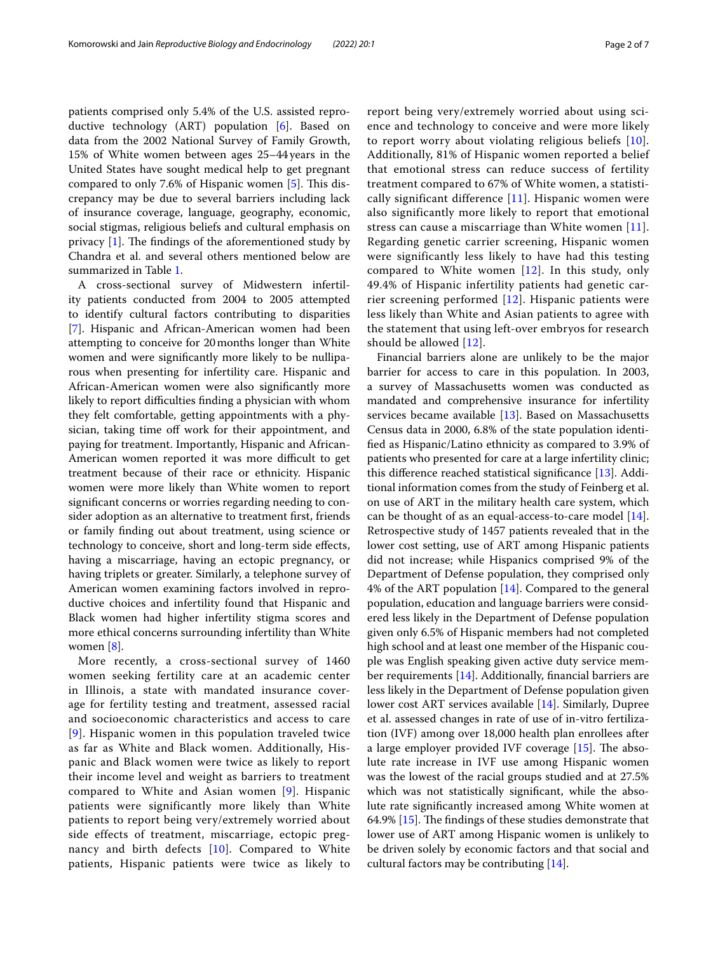patients comprised only 5.4% of the U.S. assisted reproductive technology (ART) population [\[6\]](#page-6-5). Based on data from the 2002 National Survey of Family Growth, 15% of White women between ages 25–44 years in the United States have sought medical help to get pregnant compared to only 7.6% of Hispanic women [\[5](#page-6-4)]. This discrepancy may be due to several barriers including lack of insurance coverage, language, geography, economic, social stigmas, religious beliefs and cultural emphasis on privacy  $[1]$  $[1]$ . The findings of the aforementioned study by Chandra et al. and several others mentioned below are summarized in Table [1.](#page-2-0)

A cross-sectional survey of Midwestern infertility patients conducted from 2004 to 2005 attempted to identify cultural factors contributing to disparities [[7\]](#page-6-6). Hispanic and African-American women had been attempting to conceive for 20months longer than White women and were signifcantly more likely to be nulliparous when presenting for infertility care. Hispanic and African-American women were also signifcantly more likely to report difficulties finding a physician with whom they felt comfortable, getting appointments with a physician, taking time off work for their appointment, and paying for treatment. Importantly, Hispanic and African-American women reported it was more difficult to get treatment because of their race or ethnicity. Hispanic women were more likely than White women to report signifcant concerns or worries regarding needing to consider adoption as an alternative to treatment frst, friends or family fnding out about treatment, using science or technology to conceive, short and long-term side efects, having a miscarriage, having an ectopic pregnancy, or having triplets or greater. Similarly, a telephone survey of American women examining factors involved in reproductive choices and infertility found that Hispanic and Black women had higher infertility stigma scores and more ethical concerns surrounding infertility than White women [\[8](#page-6-7)].

More recently, a cross-sectional survey of 1460 women seeking fertility care at an academic center in Illinois, a state with mandated insurance coverage for fertility testing and treatment, assessed racial and socioeconomic characteristics and access to care [[9](#page-6-8)]. Hispanic women in this population traveled twice as far as White and Black women. Additionally, Hispanic and Black women were twice as likely to report their income level and weight as barriers to treatment compared to White and Asian women [\[9](#page-6-8)]. Hispanic patients were significantly more likely than White patients to report being very/extremely worried about side effects of treatment, miscarriage, ectopic pregnancy and birth defects [[10\]](#page-6-9). Compared to White patients, Hispanic patients were twice as likely to report being very/extremely worried about using science and technology to conceive and were more likely to report worry about violating religious beliefs [[10\]](#page-6-9). Additionally, 81% of Hispanic women reported a belief that emotional stress can reduce success of fertility treatment compared to 67% of White women, a statistically significant difference  $[11]$  $[11]$  $[11]$ . Hispanic women were also significantly more likely to report that emotional stress can cause a miscarriage than White women [[11\]](#page-6-10). Regarding genetic carrier screening, Hispanic women were significantly less likely to have had this testing compared to White women [[12\]](#page-6-11). In this study, only 49.4% of Hispanic infertility patients had genetic carrier screening performed  $[12]$  $[12]$ . Hispanic patients were less likely than White and Asian patients to agree with the statement that using left-over embryos for research should be allowed [[12](#page-6-11)].

Financial barriers alone are unlikely to be the major barrier for access to care in this population. In 2003, a survey of Massachusetts women was conducted as mandated and comprehensive insurance for infertility services became available [[13\]](#page-6-12). Based on Massachusetts Census data in 2000, 6.8% of the state population identifed as Hispanic/Latino ethnicity as compared to 3.9% of patients who presented for care at a large infertility clinic; this diference reached statistical signifcance [[13\]](#page-6-12). Additional information comes from the study of Feinberg et al. on use of ART in the military health care system, which can be thought of as an equal-access-to-care model [\[14](#page-6-13)]. Retrospective study of 1457 patients revealed that in the lower cost setting, use of ART among Hispanic patients did not increase; while Hispanics comprised 9% of the Department of Defense population, they comprised only 4% of the ART population [\[14\]](#page-6-13). Compared to the general population, education and language barriers were considered less likely in the Department of Defense population given only 6.5% of Hispanic members had not completed high school and at least one member of the Hispanic couple was English speaking given active duty service member requirements [\[14](#page-6-13)]. Additionally, fnancial barriers are less likely in the Department of Defense population given lower cost ART services available [[14\]](#page-6-13). Similarly, Dupree et al. assessed changes in rate of use of in-vitro fertilization (IVF) among over 18,000 health plan enrollees after a large employer provided IVF coverage  $[15]$  $[15]$ . The absolute rate increase in IVF use among Hispanic women was the lowest of the racial groups studied and at 27.5% which was not statistically signifcant, while the absolute rate signifcantly increased among White women at 64.9%  $[15]$  $[15]$ . The findings of these studies demonstrate that lower use of ART among Hispanic women is unlikely to be driven solely by economic factors and that social and cultural factors may be contributing [[14\]](#page-6-13).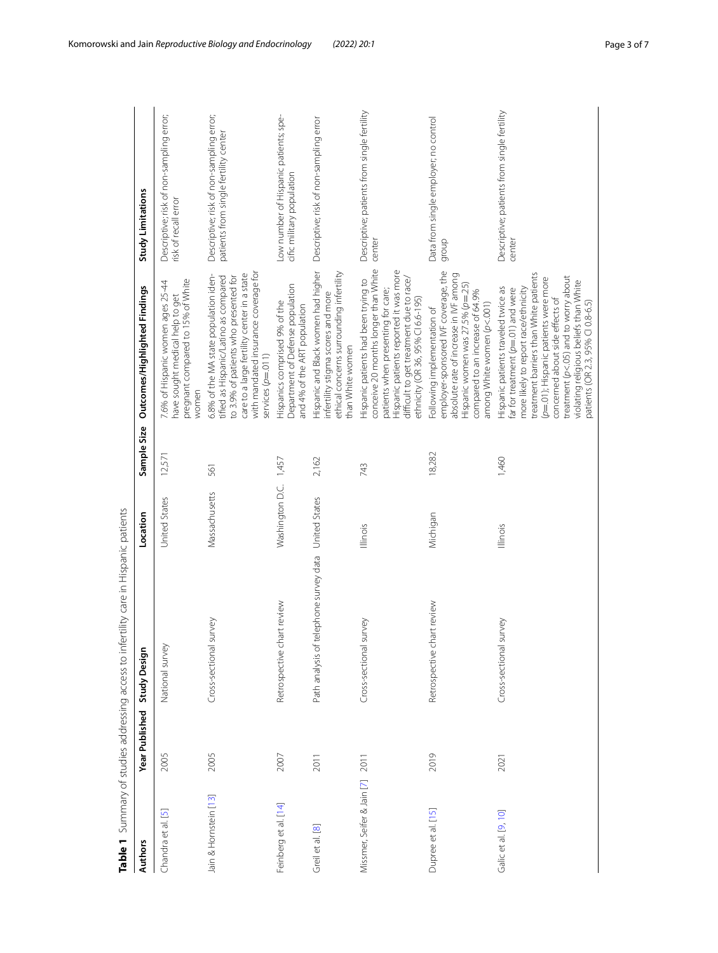<span id="page-2-0"></span>

|                                 |                | Table 1 Summary of studies addressing access to infertility care in Hispanic patients |                 |             |                                                                                                                                                                                                                                                                                                                                                               |                                                                                   |
|---------------------------------|----------------|---------------------------------------------------------------------------------------|-----------------|-------------|---------------------------------------------------------------------------------------------------------------------------------------------------------------------------------------------------------------------------------------------------------------------------------------------------------------------------------------------------------------|-----------------------------------------------------------------------------------|
| <b>Authors</b>                  | Year Published | Study Design                                                                          | Location        | Sample Size | Outcomes/Highlighted Findings                                                                                                                                                                                                                                                                                                                                 | Study Limitations                                                                 |
| ⊡<br>Chandra et al.             | 2005           | National survey                                                                       | United States   | 12,571      | pregnant compared to 15% of White<br>7.6% of Hispanic women ages 25-44<br>have sought medical help to get<br>women                                                                                                                                                                                                                                            | Descriptive; risk of non-sampling error;<br>risk of recall error                  |
| Jain & Hornstein [13]           | 2005           | survey<br>Cross-sectional                                                             | Massachusetts   | 561         | with mandated insurance coverage for<br>care to a large fertility center in a state<br>6.8% of the MA state population iden-<br>tified as Hispanic/Latino as compared<br>to 3.9% of patients who presented for<br>services ( $p=011$ )                                                                                                                        | Descriptive; risk of non-sampling error;<br>patients from single fertility center |
| Feinberg et al. [14]            | 2007           | Retrospective chart review                                                            | Washington D.C. | 1,457       | Department of Defense population<br>Hispanics comprised 9% of the<br>and 4% of the ART population                                                                                                                                                                                                                                                             | Low number of Hispanic patients; spe-<br>cific military population                |
| Greil et al. [8]                | 2011           | telephone survey data<br>Path analysis of                                             | United States   | 2,162       | Hispanic and Black women had higher<br>ethical concerns surrounding infertility<br>infertility stigma scores and more<br>than White women                                                                                                                                                                                                                     | Descriptive; risk of non-sampling error                                           |
| Missmer, Seifer & Jain [7] 2011 |                | survey<br>Cross-sectional                                                             | Illinois        | 743         | conceive 20 months longer than White<br>Hispanic patients reported it was more<br>difficult to get treatment due to race/<br>Hispanic patients had been trying to<br>patients when presenting for care;<br>ethnicity (OR 36, 95% CI 6.6-195)                                                                                                                  | Descriptive; patients from single fertility<br>center                             |
| Dupree et al. [15]              | 2019           | Retrospective chart review                                                            | Michigan        | 18,282      | employer-sponsored IVF coverage, the<br>absolute rate of increase in IVF among<br>Hispanic women was 27.5% (p=.25)<br>compared to an increase of 64.9%<br>among White women (p<.001)<br>Following implementation of                                                                                                                                           | Data from single employer; no control<br>dronb                                    |
| Galic et al. [9, 10]            | 2021           | survey<br>Cross-sectional                                                             | Illinois        | 1,460       | treatment barriers than White patients<br>treatment (p<.05) and to worry about<br>(p=.01); Hispanic patients were more<br>violating religious beliefs than White<br>Hispanic patients traveled twice as<br>more likely to report race/ethnicity<br>ar for treatment $(p=01)$ and were<br>concerned about side effects of<br>patients (OR 2.3, 95% CI 0.8-6.5) | Descriptive; patients from single fertility<br>center                             |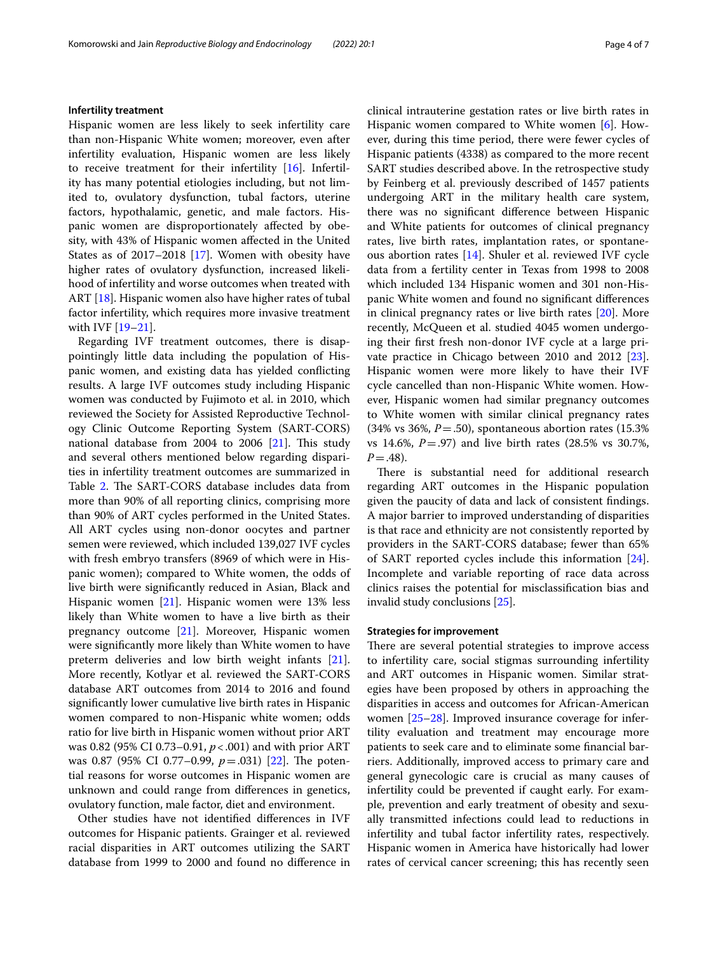## **Infertility treatment**

Hispanic women are less likely to seek infertility care than non-Hispanic White women; moreover, even after infertility evaluation, Hispanic women are less likely to receive treatment for their infertility [\[16\]](#page-6-15). Infertility has many potential etiologies including, but not limited to, ovulatory dysfunction, tubal factors, uterine factors, hypothalamic, genetic, and male factors. Hispanic women are disproportionately affected by obesity, with 43% of Hispanic women afected in the United States as of 2017–2018 [\[17](#page-6-16)]. Women with obesity have higher rates of ovulatory dysfunction, increased likelihood of infertility and worse outcomes when treated with ART [\[18](#page-6-17)]. Hispanic women also have higher rates of tubal factor infertility, which requires more invasive treatment with IVF [\[19](#page-6-18)[–21\]](#page-6-19).

Regarding IVF treatment outcomes, there is disappointingly little data including the population of Hispanic women, and existing data has yielded conficting results. A large IVF outcomes study including Hispanic women was conducted by Fujimoto et al. in 2010, which reviewed the Society for Assisted Reproductive Technology Clinic Outcome Reporting System (SART-CORS) national database from  $2004$  to  $2006$  [[21\]](#page-6-19). This study and several others mentioned below regarding disparities in infertility treatment outcomes are summarized in Table [2.](#page-4-0) The SART-CORS database includes data from more than 90% of all reporting clinics, comprising more than 90% of ART cycles performed in the United States. All ART cycles using non-donor oocytes and partner semen were reviewed, which included 139,027 IVF cycles with fresh embryo transfers (8969 of which were in Hispanic women); compared to White women, the odds of live birth were signifcantly reduced in Asian, Black and Hispanic women [\[21](#page-6-19)]. Hispanic women were 13% less likely than White women to have a live birth as their pregnancy outcome [[21\]](#page-6-19). Moreover, Hispanic women were signifcantly more likely than White women to have preterm deliveries and low birth weight infants [\[21](#page-6-19)]. More recently, Kotlyar et al. reviewed the SART-CORS database ART outcomes from 2014 to 2016 and found signifcantly lower cumulative live birth rates in Hispanic women compared to non-Hispanic white women; odds ratio for live birth in Hispanic women without prior ART was 0.82 (95% CI 0.73–0.91, *p*<.001) and with prior ART was 0.87 (95% CI 0.77–0.99,  $p = .031$ ) [\[22](#page-6-20)]. The potential reasons for worse outcomes in Hispanic women are unknown and could range from diferences in genetics, ovulatory function, male factor, diet and environment.

Other studies have not identifed diferences in IVF outcomes for Hispanic patients. Grainger et al. reviewed racial disparities in ART outcomes utilizing the SART database from 1999 to 2000 and found no diference in

clinical intrauterine gestation rates or live birth rates in Hispanic women compared to White women [\[6](#page-6-5)]. However, during this time period, there were fewer cycles of Hispanic patients (4338) as compared to the more recent SART studies described above. In the retrospective study by Feinberg et al. previously described of 1457 patients undergoing ART in the military health care system, there was no signifcant diference between Hispanic and White patients for outcomes of clinical pregnancy rates, live birth rates, implantation rates, or spontaneous abortion rates [[14\]](#page-6-13). Shuler et al. reviewed IVF cycle data from a fertility center in Texas from 1998 to 2008 which included 134 Hispanic women and 301 non-Hispanic White women and found no signifcant diferences in clinical pregnancy rates or live birth rates [[20](#page-6-21)]. More recently, McQueen et al. studied 4045 women undergoing their frst fresh non-donor IVF cycle at a large private practice in Chicago between 2010 and 2012 [\[23](#page-6-22)]. Hispanic women were more likely to have their IVF cycle cancelled than non-Hispanic White women. However, Hispanic women had similar pregnancy outcomes to White women with similar clinical pregnancy rates (34% vs 36%, *P*=.50), spontaneous abortion rates (15.3% vs 14.6%, *P*=.97) and live birth rates (28.5% vs 30.7%,  $P = .48$ ).

There is substantial need for additional research regarding ART outcomes in the Hispanic population given the paucity of data and lack of consistent fndings. A major barrier to improved understanding of disparities is that race and ethnicity are not consistently reported by providers in the SART-CORS database; fewer than 65% of SART reported cycles include this information [\[24](#page-6-23)]. Incomplete and variable reporting of race data across clinics raises the potential for misclassifcation bias and invalid study conclusions [[25](#page-6-24)].

## **Strategies for improvement**

There are several potential strategies to improve access to infertility care, social stigmas surrounding infertility and ART outcomes in Hispanic women. Similar strategies have been proposed by others in approaching the disparities in access and outcomes for African-American women [\[25](#page-6-24)[–28](#page-6-25)]. Improved insurance coverage for infertility evaluation and treatment may encourage more patients to seek care and to eliminate some fnancial barriers. Additionally, improved access to primary care and general gynecologic care is crucial as many causes of infertility could be prevented if caught early. For example, prevention and early treatment of obesity and sexually transmitted infections could lead to reductions in infertility and tubal factor infertility rates, respectively. Hispanic women in America have historically had lower rates of cervical cancer screening; this has recently seen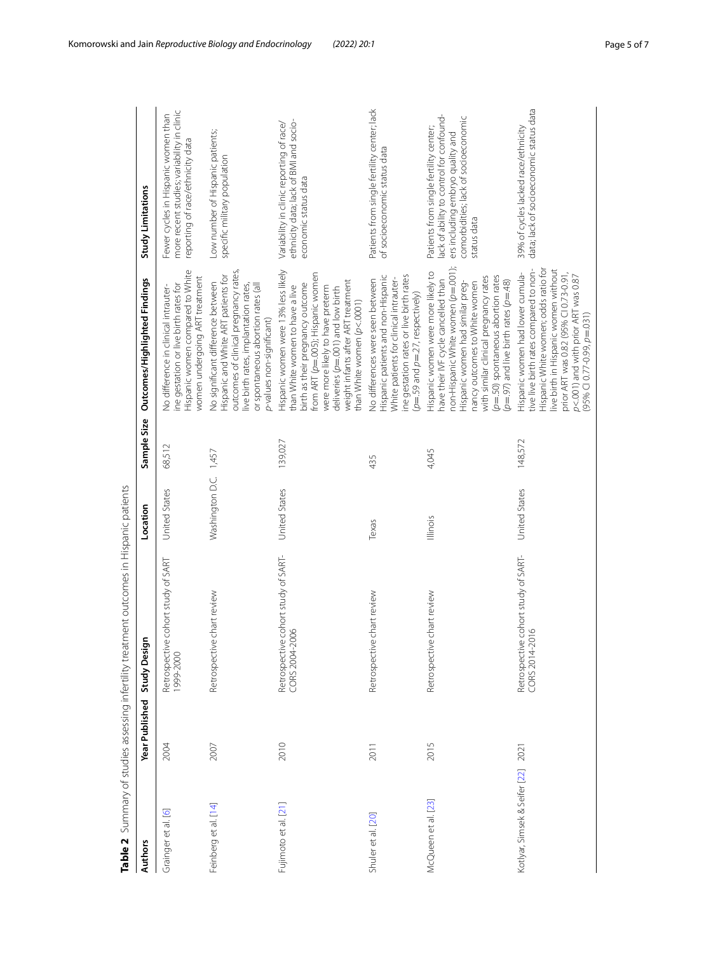<span id="page-4-0"></span>

|                               |                | Table 2 Summary of studies assessing infertility treatment outcomes in Hispanic patients |                 |             |                                                                                                                                                                                                                                                                                                               |                                                                                                                                                                               |
|-------------------------------|----------------|------------------------------------------------------------------------------------------|-----------------|-------------|---------------------------------------------------------------------------------------------------------------------------------------------------------------------------------------------------------------------------------------------------------------------------------------------------------------|-------------------------------------------------------------------------------------------------------------------------------------------------------------------------------|
| <b>Authors</b>                | Year Published | c<br><b>Study Desig</b>                                                                  | Location        | Sample Size | Outcomes/Highlighted Findings                                                                                                                                                                                                                                                                                 | Study Limitations                                                                                                                                                             |
| Grainger et al. [6]           | 2004           | Retrospective cohort study of SART<br>1999-2000                                          | United States   | 68,512      | Hispanic women compared to White<br>women undergoing ART treatment<br>ne gestation or live birth rates for<br>No difference in clinical intrauter-                                                                                                                                                            | more recent studies; variability in clinic<br>Fewer cycles in Hispanic women than<br>reporting of race/ethnicity data                                                         |
| Feinberg et al. [14]          | 2007           | Retrospective chart review                                                               | Washington D.C. | 1,457       | outcomes of clinical pregnancy rates,<br>Hispanic and White ART patients for<br>No significant difference between<br>or spontaneous abortion rates (all<br>live birth rates, implantation rates,<br>p-values non-significant)                                                                                 | Low number of Hispanic patients;<br>specific military population                                                                                                              |
| Fujimoto et al. [21]          | 2010           | Retrospective cohort study of SART-<br>CORS 2004-2006                                    | United States   | 139,027     | Hispanic women were 13% less likely<br>from ART (p=.005); Hispanic women<br>weight infants after ART treatment<br>birth as their pregnancy outcome<br>than White women to have a live<br>were more likely to have preterm<br>deliveries (p=.001) and low birth<br>than White women (p<.0001)                  | ethnicity data; lack of BMI and socio-<br>Variability in clinic reporting of race/<br>economic status data                                                                    |
| Shuler et al. [20]            | 2011           | Retrospective chart review                                                               | Texas           | 435         | Hispanic patients and non-Hispanic<br>ine gestation rates or live birth rates<br>White patients for clinical intrauter-<br>No differences were seen between<br>$(p=59$ and $p=.27$ , respectively)                                                                                                            | Patients from single fertility center; lack<br>of socioeconomic status data                                                                                                   |
| McQueen et al. [23]           | 2015           | Retrospective chart review                                                               | Illinois        | 4,045       | non-Hispanic White women (p=.001);<br>Hispanic women were more likely to<br>(p=.50) spontaneous abortion rates<br>with similar clinical pregnancy rates<br>have their IVF cycle cancelled than<br>$(p=97)$ and live birth rates $(p=48)$<br>Hispanic women had similar preg-<br>hancy outcomes to White women | lack of ability to control for confound-<br>comorbidities; lack of socioeconomic<br>Patients from single fertility center;<br>ers including embryo quality and<br>status data |
| Kotlyar, Simsek & Seifer [22] | 2021           | Retrospective cohort study of SART-<br>CORS 2014-2016                                    | United States   | 148,572     | Hispanic White women; odds ratio for<br>live birth in Hispanic women without<br>tive live birth rates compared to non-<br>Hispanic women had lower cumula-<br>prior ART was 0.82 (95% CI 0.73-0.91,<br>p<.001) and with prior ART was 0.87<br>$(95\%$ CI 0.77-0.99, $p=031$ )                                 | data; lack of socioeconomic status data<br>39% of cycles lacked race/ethnicity                                                                                                |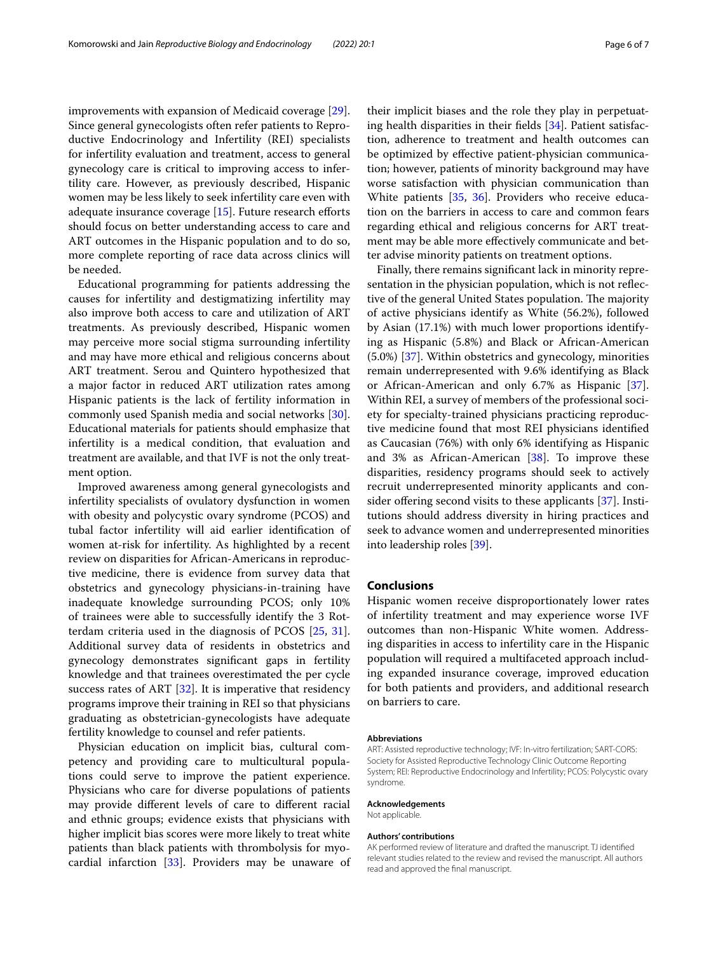improvements with expansion of Medicaid coverage [\[29](#page-6-26)]. Since general gynecologists often refer patients to Reproductive Endocrinology and Infertility (REI) specialists for infertility evaluation and treatment, access to general gynecology care is critical to improving access to infertility care. However, as previously described, Hispanic women may be less likely to seek infertility care even with adequate insurance coverage  $[15]$  $[15]$ . Future research efforts should focus on better understanding access to care and ART outcomes in the Hispanic population and to do so, more complete reporting of race data across clinics will be needed.

Educational programming for patients addressing the causes for infertility and destigmatizing infertility may also improve both access to care and utilization of ART treatments. As previously described, Hispanic women may perceive more social stigma surrounding infertility and may have more ethical and religious concerns about ART treatment. Serou and Quintero hypothesized that a major factor in reduced ART utilization rates among Hispanic patients is the lack of fertility information in commonly used Spanish media and social networks [\[30](#page-6-27)]. Educational materials for patients should emphasize that infertility is a medical condition, that evaluation and treatment are available, and that IVF is not the only treatment option.

Improved awareness among general gynecologists and infertility specialists of ovulatory dysfunction in women with obesity and polycystic ovary syndrome (PCOS) and tubal factor infertility will aid earlier identifcation of women at-risk for infertility. As highlighted by a recent review on disparities for African-Americans in reproductive medicine, there is evidence from survey data that obstetrics and gynecology physicians-in-training have inadequate knowledge surrounding PCOS; only 10% of trainees were able to successfully identify the 3 Rotterdam criteria used in the diagnosis of PCOS [[25](#page-6-24), [31](#page-6-28)]. Additional survey data of residents in obstetrics and gynecology demonstrates signifcant gaps in fertility knowledge and that trainees overestimated the per cycle success rates of ART [[32\]](#page-6-29). It is imperative that residency programs improve their training in REI so that physicians graduating as obstetrician-gynecologists have adequate fertility knowledge to counsel and refer patients.

Physician education on implicit bias, cultural competency and providing care to multicultural populations could serve to improve the patient experience. Physicians who care for diverse populations of patients may provide diferent levels of care to diferent racial and ethnic groups; evidence exists that physicians with higher implicit bias scores were more likely to treat white patients than black patients with thrombolysis for myocardial infarction  $[33]$  $[33]$ . Providers may be unaware of their implicit biases and the role they play in perpetuating health disparities in their felds [\[34](#page-6-31)]. Patient satisfaction, adherence to treatment and health outcomes can be optimized by efective patient-physician communication; however, patients of minority background may have worse satisfaction with physician communication than White patients [\[35](#page-6-32), [36\]](#page-6-33). Providers who receive education on the barriers in access to care and common fears regarding ethical and religious concerns for ART treatment may be able more efectively communicate and better advise minority patients on treatment options.

Finally, there remains signifcant lack in minority representation in the physician population, which is not refective of the general United States population. The majority of active physicians identify as White (56.2%), followed by Asian (17.1%) with much lower proportions identifying as Hispanic (5.8%) and Black or African-American (5.0%) [[37\]](#page-6-34). Within obstetrics and gynecology, minorities remain underrepresented with 9.6% identifying as Black or African-American and only 6.7% as Hispanic [\[37](#page-6-34)]. Within REI, a survey of members of the professional society for specialty-trained physicians practicing reproductive medicine found that most REI physicians identifed as Caucasian (76%) with only 6% identifying as Hispanic and 3% as African-American [[38](#page-6-35)]. To improve these disparities, residency programs should seek to actively recruit underrepresented minority applicants and consider offering second visits to these applicants  $[37]$  $[37]$ . Institutions should address diversity in hiring practices and seek to advance women and underrepresented minorities into leadership roles [[39\]](#page-6-36).

## **Conclusions**

Hispanic women receive disproportionately lower rates of infertility treatment and may experience worse IVF outcomes than non-Hispanic White women. Addressing disparities in access to infertility care in the Hispanic population will required a multifaceted approach including expanded insurance coverage, improved education for both patients and providers, and additional research on barriers to care.

#### **Abbreviations**

ART: Assisted reproductive technology; IVF: In-vitro fertilization; SART-CORS: Society for Assisted Reproductive Technology Clinic Outcome Reporting System; REI: Reproductive Endocrinology and Infertility; PCOS: Polycystic ovary syndrome.

#### **Acknowledgements**

Not applicable.

#### **Authors' contributions**

AK performed review of literature and drafted the manuscript. TJ identified relevant studies related to the review and revised the manuscript. All authors read and approved the fnal manuscript.